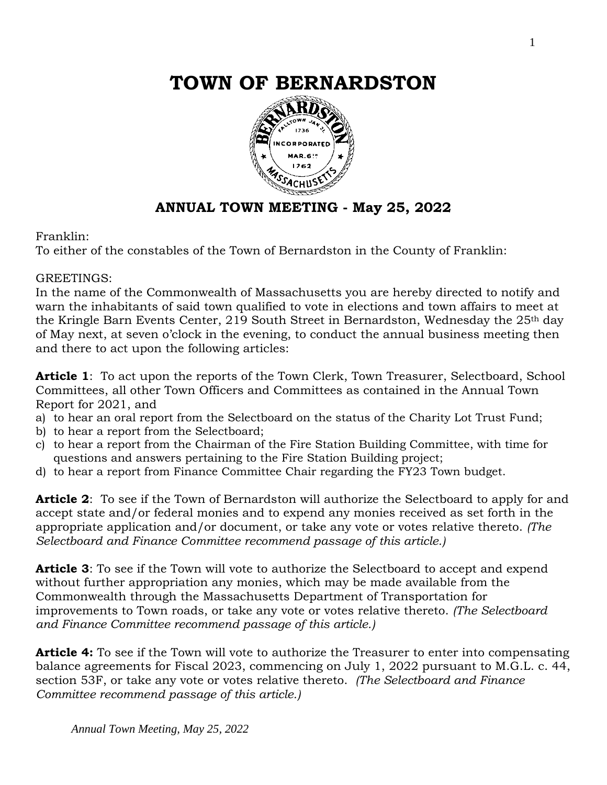

# **ANNUAL TOWN MEETING - May 25, 2022**

#### Franklin:

To either of the constables of the Town of Bernardston in the County of Franklin:

#### GREETINGS:

In the name of the Commonwealth of Massachusetts you are hereby directed to notify and warn the inhabitants of said town qualified to vote in elections and town affairs to meet at the Kringle Barn Events Center, 219 South Street in Bernardston, Wednesday the 25<sup>th</sup> day of May next, at seven o'clock in the evening, to conduct the annual business meeting then and there to act upon the following articles:

**Article 1**: To act upon the reports of the Town Clerk, Town Treasurer, Selectboard, School Committees, all other Town Officers and Committees as contained in the Annual Town Report for 2021, and

- a) to hear an oral report from the Selectboard on the status of the Charity Lot Trust Fund;
- b) to hear a report from the Selectboard;
- c) to hear a report from the Chairman of the Fire Station Building Committee, with time for questions and answers pertaining to the Fire Station Building project;
- d) to hear a report from Finance Committee Chair regarding the FY23 Town budget.

**Article 2**: To see if the Town of Bernardston will authorize the Selectboard to apply for and accept state and/or federal monies and to expend any monies received as set forth in the appropriate application and/or document, or take any vote or votes relative thereto. *(The Selectboard and Finance Committee recommend passage of this article.)* 

**Article 3**: To see if the Town will vote to authorize the Selectboard to accept and expend without further appropriation any monies, which may be made available from the Commonwealth through the Massachusetts Department of Transportation for improvements to Town roads, or take any vote or votes relative thereto. *(The Selectboard and Finance Committee recommend passage of this article.)* 

**Article 4:** To see if the Town will vote to authorize the Treasurer to enter into compensating balance agreements for Fiscal 2023, commencing on July 1, 2022 pursuant to M.G.L. c. 44, section 53F, or take any vote or votes relative thereto. *(The Selectboard and Finance Committee recommend passage of this article.)*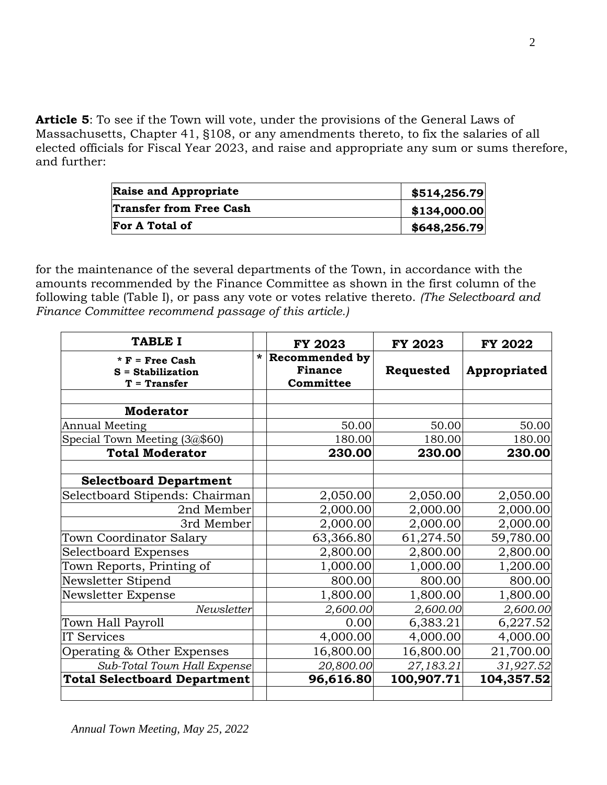**Article 5**: To see if the Town will vote, under the provisions of the General Laws of Massachusetts, Chapter 41, §108, or any amendments thereto, to fix the salaries of all elected officials for Fiscal Year 2023, and raise and appropriate any sum or sums therefore, and further:

| <b>Raise and Appropriate</b>   | \$514,256.79 |
|--------------------------------|--------------|
| <b>Transfer from Free Cash</b> | \$134,000.00 |
| <b>For A Total of</b>          | \$648,256.79 |

for the maintenance of the several departments of the Town, in accordance with the amounts recommended by the Finance Committee as shown in the first column of the following table (Table I), or pass any vote or votes relative thereto. *(The Selectboard and Finance Committee recommend passage of this article.)*

| TABLE I                                                    |         | <b>FY 2023</b>                                       | <b>FY 2023</b> | <b>FY 2022</b> |
|------------------------------------------------------------|---------|------------------------------------------------------|----------------|----------------|
| $*$ F = Free Cash<br>$S =$ Stabilization<br>$T = Transfer$ | $\star$ | <b>Recommended by</b><br><b>Finance</b><br>Committee | Requested      | Appropriated   |
| <b>Moderator</b>                                           |         |                                                      |                |                |
|                                                            |         |                                                      |                |                |
| <b>Annual Meeting</b>                                      |         | 50.00                                                | 50.00          | 50.00          |
| Special Town Meeting (3@\$60)                              |         | 180.00                                               | 180.00         | 180.00         |
| <b>Total Moderator</b>                                     |         | 230.00                                               | 230.00         | 230.00         |
| <b>Selectboard Department</b>                              |         |                                                      |                |                |
| Selectboard Stipends: Chairman                             |         | 2,050.00                                             | 2,050.00       | 2,050.00       |
| 2nd Member                                                 |         | 2,000.00                                             | 2,000.00       | 2,000.00       |
| 3rd Member                                                 |         | 2,000.00                                             | 2,000.00       | 2,000.00       |
| Town Coordinator Salary                                    |         | 63,366.80                                            | 61,274.50      | 59,780.00      |
| <b>Selectboard Expenses</b>                                |         | 2,800.00                                             | 2,800.00       | 2,800.00       |
| Town Reports, Printing of                                  |         | 1,000.00                                             | 1,000.00       | 1,200.00       |
| Newsletter Stipend                                         |         | 800.00                                               | 800.00         | 800.00         |
| Newsletter Expense                                         |         | 1,800.00                                             | 1,800.00       | 1,800.00       |
| Newsletter                                                 |         | 2,600.00                                             | 2,600.00       | 2,600.00       |
| Town Hall Payroll                                          |         | 0.00                                                 | 6,383.21       | 6,227.52       |
| IT Services                                                |         | 4,000.00                                             | 4,000.00       | 4,000.00       |
| Operating & Other Expenses                                 |         | 16,800.00                                            | 16,800.00      | 21,700.00      |
| Sub-Total Town Hall Expense                                |         | 20,800.00                                            | 27,183.21      | 31,927.52      |
| <b>Total Selectboard Department</b>                        |         | 96,616.80                                            | 100,907.71     | 104,357.52     |
|                                                            |         |                                                      |                |                |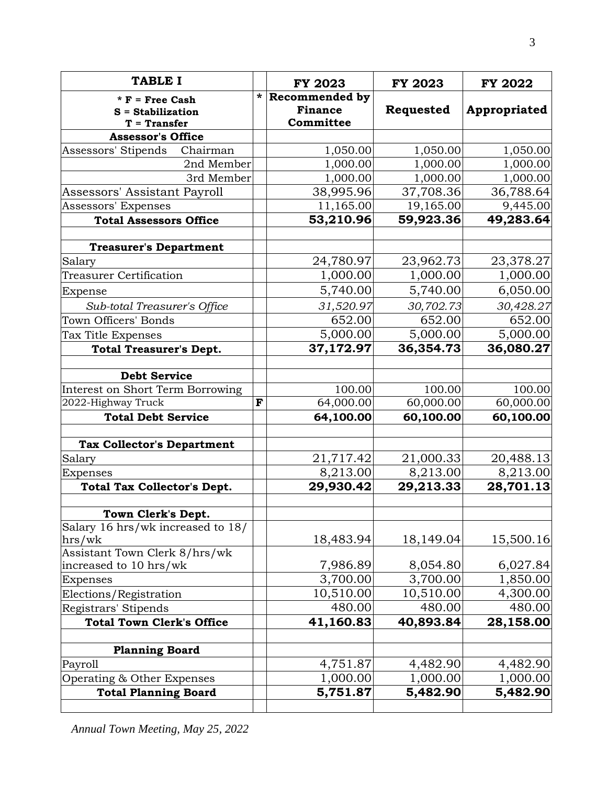| <b>TABLE I</b>                                             |         | <b>FY 2023</b>                                       | <b>FY 2023</b> | <b>FY 2022</b> |
|------------------------------------------------------------|---------|------------------------------------------------------|----------------|----------------|
| $*$ F = Free Cash<br>$S =$ Stabilization<br>$T = Transfer$ | $\star$ | <b>Recommended by</b><br><b>Finance</b><br>Committee | Requested      | Appropriated   |
| <b>Assessor's Office</b>                                   |         |                                                      |                |                |
| Assessors' Stipends<br>Chairman                            |         | 1,050.00                                             | 1,050.00       | 1,050.00       |
| 2nd Member                                                 |         | 1,000.00                                             | 1,000.00       | 1,000.00       |
| 3rd Member                                                 |         | 1,000.00                                             | 1,000.00       | 1,000.00       |
| Assessors' Assistant Payroll                               |         | 38,995.96                                            | 37,708.36      | 36,788.64      |
| Assessors' Expenses                                        |         | 11,165.00                                            | 19,165.00      | 9,445.00       |
| <b>Total Assessors Office</b>                              |         | 53,210.96                                            | 59,923.36      | 49,283.64      |
| <b>Treasurer's Department</b>                              |         |                                                      |                |                |
| Salary                                                     |         | 24,780.97                                            | 23,962.73      | 23,378.27      |
| <b>Treasurer Certification</b>                             |         | 1,000.00                                             | 1,000.00       | 1,000.00       |
| Expense                                                    |         | 5,740.00                                             | 5,740.00       | 6,050.00       |
| Sub-total Treasurer's Office                               |         | 31,520.97                                            | 30,702.73      | 30,428.27      |
| <b>Town Officers' Bonds</b>                                |         | 652.00                                               | 652.00         | 652.00         |
| Tax Title Expenses                                         |         | 5,000.00                                             | 5,000.00       | 5,000.00       |
| <b>Total Treasurer's Dept.</b>                             |         | 37,172.97                                            | 36,354.73      | 36,080.27      |
| <b>Debt Service</b>                                        |         |                                                      |                |                |
| Interest on Short Term Borrowing                           |         | 100.00                                               | 100.00         | 100.00         |
| 2022-Highway Truck                                         | F       | 64,000.00                                            | 60,000.00      | 60,000.00      |
| <b>Total Debt Service</b>                                  |         | 64,100.00                                            | 60,100.00      | 60,100.00      |
| <b>Tax Collector's Department</b>                          |         |                                                      |                |                |
| Salary                                                     |         | 21,717.42                                            | 21,000.33      | 20,488.13      |
| Expenses                                                   |         | 8,213.00                                             | 8,213.00       | 8,213.00       |
| Total Tax Collector's Dept.                                |         | 29,930.42                                            | 29,213.33      | 28,701.13      |
| Town Clerk's Dept.                                         |         |                                                      |                |                |
| Salary 16 hrs/wk increased to 18/<br>hrs/wk                |         | 18,483.94                                            | 18,149.04      | 15,500.16      |
| Assistant Town Clerk 8/hrs/wk                              |         |                                                      |                |                |
| increased to 10 hrs/wk                                     |         | 7,986.89                                             | 8,054.80       | 6,027.84       |
| Expenses                                                   |         | 3,700.00                                             | 3,700.00       | 1,850.00       |
| Elections/Registration                                     |         | 10,510.00                                            | 10,510.00      | 4,300.00       |
| Registrars' Stipends                                       |         | 480.00                                               | 480.00         | 480.00         |
| <b>Total Town Clerk's Office</b>                           |         | 41,160.83                                            | 40,893.84      | 28,158.00      |
| <b>Planning Board</b>                                      |         |                                                      |                |                |
| Payroll                                                    |         | 4,751.87                                             | 4,482.90       | 4,482.90       |
| Operating & Other Expenses                                 |         | 1,000.00                                             | 1,000.00       | 1,000.00       |
| <b>Total Planning Board</b>                                |         | 5,751.87                                             | 5,482.90       | 5,482.90       |

*Annual Town Meeting, May 25, 2022*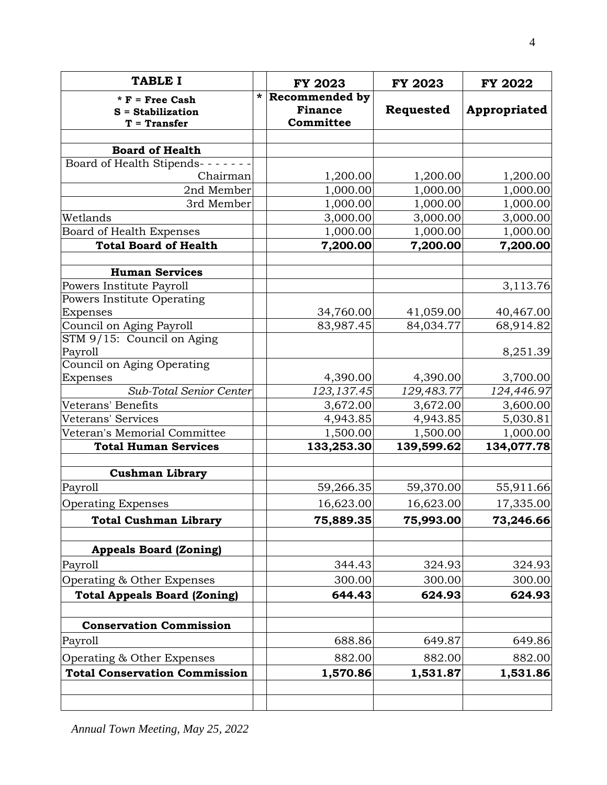| <b>TABLE I</b>                                             |        | <b>FY 2023</b>                                       | <b>FY 2023</b> | <b>FY 2022</b> |
|------------------------------------------------------------|--------|------------------------------------------------------|----------------|----------------|
| $*$ F = Free Cash<br>$S =$ Stabilization<br>$T = Transfer$ | $\ast$ | <b>Recommended by</b><br><b>Finance</b><br>Committee | Requested      | Appropriated   |
|                                                            |        |                                                      |                |                |
| <b>Board of Health</b>                                     |        |                                                      |                |                |
| Board of Health Stipends- - - -                            |        |                                                      |                |                |
| Chairman                                                   |        | 1,200.00                                             | 1,200.00       | 1,200.00       |
| 2nd Member                                                 |        | 1,000.00                                             | 1,000.00       | 1,000.00       |
| 3rd Member                                                 |        | 1,000.00                                             | 1,000.00       | 1,000.00       |
| Wetlands                                                   |        | 3,000.00                                             | 3,000.00       | 3,000.00       |
| Board of Health Expenses                                   |        | 1,000.00                                             | 1,000.00       | 1,000.00       |
| <b>Total Board of Health</b>                               |        | 7,200.00                                             | 7,200.00       | 7,200.00       |
| <b>Human Services</b>                                      |        |                                                      |                |                |
| Powers Institute Payroll                                   |        |                                                      |                | 3,113.76       |
| Powers Institute Operating                                 |        |                                                      |                |                |
| Expenses                                                   |        | 34,760.00                                            | 41,059.00      | 40,467.00      |
| Council on Aging Payroll                                   |        | 83,987.45                                            | 84,034.77      | 68,914.82      |
| STM 9/15: Council on Aging                                 |        |                                                      |                |                |
| Payroll<br>Council on Aging Operating                      |        |                                                      |                | 8,251.39       |
| Expenses                                                   |        | 4,390.00                                             | 4,390.00       | 3,700.00       |
| Sub-Total Senior Center                                    |        | 123, 137.45                                          | 129,483.77     | 124,446.97     |
| Veterans' Benefits                                         |        | 3,672.00                                             | 3,672.00       | 3,600.00       |
| Veterans' Services                                         |        | 4,943.85                                             | 4,943.85       | 5,030.81       |
| Veteran's Memorial Committee                               |        | 1,500.00                                             | 1,500.00       | 1,000.00       |
| <b>Total Human Services</b>                                |        | 133,253.30                                           | 139,599.62     | 134,077.78     |
|                                                            |        |                                                      |                |                |
| <b>Cushman Library</b>                                     |        |                                                      |                |                |
| Payroll                                                    |        | 59,266.35                                            | 59,370.00      | 55,911.66      |
| <b>Operating Expenses</b>                                  |        | 16,623.00                                            | 16,623.00      | 17,335.00      |
| <b>Total Cushman Library</b>                               |        | 75,889.35                                            | 75,993.00      | 73,246.66      |
| <b>Appeals Board (Zoning)</b>                              |        |                                                      |                |                |
| Payroll                                                    |        | 344.43                                               | 324.93         | 324.93         |
| Operating & Other Expenses                                 |        | 300.00                                               | 300.00         | 300.00         |
| <b>Total Appeals Board (Zoning)</b>                        |        | 644.43                                               | 624.93         | 624.93         |
|                                                            |        |                                                      |                |                |
| <b>Conservation Commission</b>                             |        |                                                      |                |                |
| Payroll                                                    |        | 688.86                                               | 649.87         | 649.86         |
| Operating & Other Expenses                                 |        | 882.00                                               | 882.00         | 882.00         |
| <b>Total Conservation Commission</b>                       |        | 1,570.86                                             | 1,531.87       | 1,531.86       |
|                                                            |        |                                                      |                |                |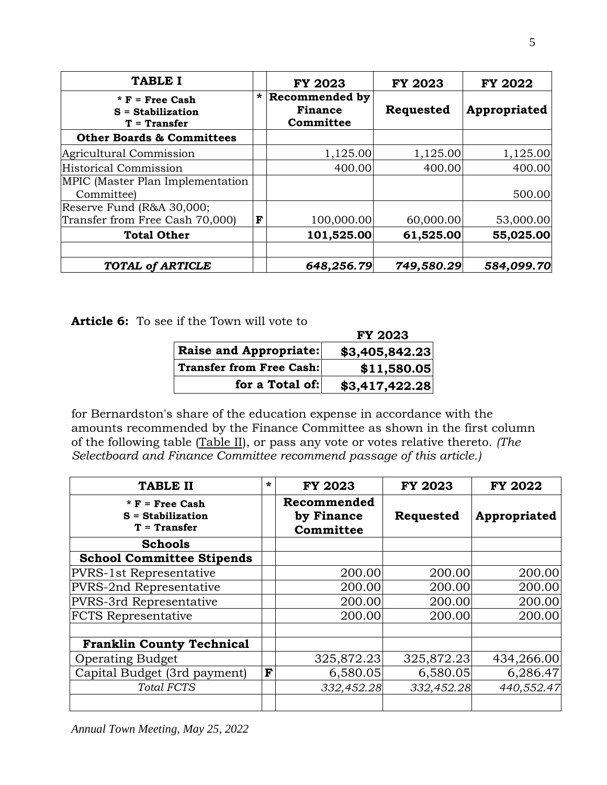| <b>TABLE I</b>                                             |         | <b>FY 2023</b>                                | <b>FY 2023</b> | <b>FY 2022</b> |
|------------------------------------------------------------|---------|-----------------------------------------------|----------------|----------------|
| $*$ F = Free Cash<br>$S = Stabilization$<br>$T = Transfer$ | $\star$ | Recommended by<br><b>Finance</b><br>Committee | Requested      | Appropriated   |
| <b>Other Boards &amp; Committees</b>                       |         |                                               |                |                |
| Agricultural Commission                                    |         | 1,125.00                                      | 1,125.00       | 1,125.00       |
| <b>Historical Commission</b>                               |         | 400.00                                        | 400.00         | 400.00         |
| MPIC (Master Plan Implementation<br>Committee)             |         |                                               |                | 500.00         |
| Reserve Fund (R&A 30,000;                                  |         |                                               |                |                |
| Transfer from Free Cash 70,000)                            | F       | 100,000.00                                    | 60,000.00      | 53,000.00      |
| <b>Total Other</b>                                         |         | 101,525.00                                    | 61,525.00      | 55,025.00      |
| <b>TOTAL of ARTICLE</b>                                    |         | 648,256.79                                    | 749,580.29     | 584,099.70     |

**Article 6:** To see if the Town will vote to

|                                 | <b>FY 2023</b> |
|---------------------------------|----------------|
| <b>Raise and Appropriate:</b>   | \$3,405,842.23 |
| <b>Transfer from Free Cash:</b> | \$11,580.05    |
| for a Total of:                 | \$3,417,422.28 |

for Bernardston's share of the education expense in accordance with the amounts recommended by the Finance Committee as shown in the first column of the following table (Table II), or pass any vote or votes relative thereto. *(The Selectboard and Finance Committee recommend passage of this article.)* 

| <b>TABLE II</b>                                            | $\star$ | <b>FY 2023</b>                         | <b>FY 2023</b> | <b>FY 2022</b> |
|------------------------------------------------------------|---------|----------------------------------------|----------------|----------------|
| $*$ F = Free Cash<br>$S = Stabilization$<br>$T = Transfer$ |         | Recommended<br>by Finance<br>Committee | Requested      | Appropriated   |
| <b>Schools</b>                                             |         |                                        |                |                |
| <b>School Committee Stipends</b>                           |         |                                        |                |                |
| <b>PVRS-1st Representative</b>                             |         | 200.00                                 | 200.00         | 200.00         |
| PVRS-2nd Representative                                    |         | 200.00                                 | 200.00         | 200.00         |
| PVRS-3rd Representative                                    |         | 200.00                                 | 200.00         | 200.00         |
| <b>FCTS</b> Representative                                 |         | 200.00                                 | 200.00         | 200.00         |
| <b>Franklin County Technical</b>                           |         |                                        |                |                |
| <b>Operating Budget</b>                                    |         | 325,872.23                             | 325,872.23     | 434,266.00     |
| Capital Budget (3rd payment)                               | F       | 6,580.05                               | 6,580.05       | 6,286.47       |
| Total FCTS                                                 |         | 332,452.28                             | 332,452.28     | 440,552.47     |
|                                                            |         |                                        |                |                |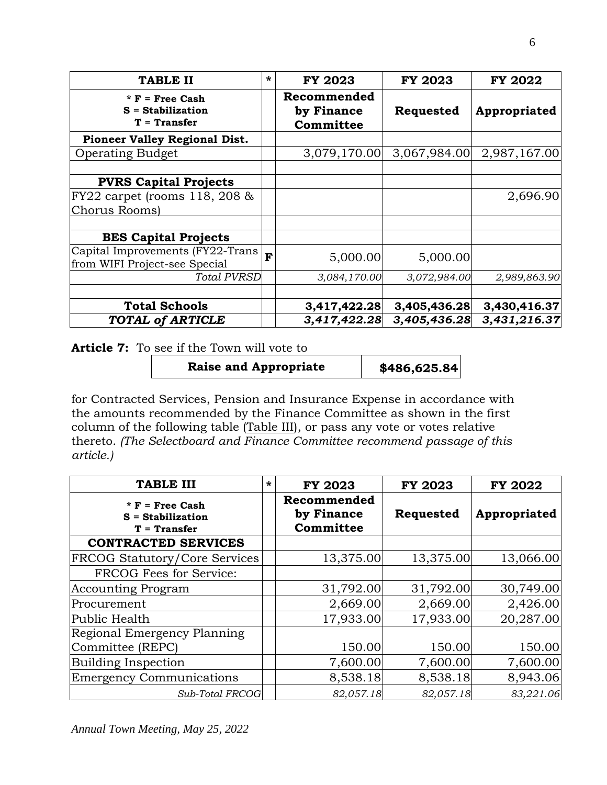| <b>TABLE II</b>                                            | * | <b>FY 2023</b>                         | <b>FY 2023</b> | <b>FY 2022</b> |
|------------------------------------------------------------|---|----------------------------------------|----------------|----------------|
| $*$ F = Free Cash<br>$S = Stabilization$<br>$T = Transfer$ |   | Recommended<br>by Finance<br>Committee | Requested      | Appropriated   |
| <b>Pioneer Valley Regional Dist.</b>                       |   |                                        |                |                |
| <b>Operating Budget</b>                                    |   | 3,079,170.00                           | 3,067,984.00   | 2,987,167.00   |
| <b>PVRS Capital Projects</b>                               |   |                                        |                |                |
| FY22 carpet (rooms 118, 208 &                              |   |                                        |                | 2,696.90       |
| Chorus Rooms)                                              |   |                                        |                |                |
| <b>BES Capital Projects</b>                                |   |                                        |                |                |
| Capital Improvements (FY22-Trans                           | F | 5,000.00                               | 5,000.00       |                |
| from WIFI Project-see Special                              |   |                                        |                |                |
| <b>Total PVRSD</b>                                         |   | 3,084,170.00                           | 3,072,984.00   | 2,989,863.90   |
| <b>Total Schools</b>                                       |   | 3,417,422.28                           | 3,405,436.28   | 3,430,416.37   |
| <b>TOTAL of ARTICLE</b>                                    |   | 3,417,422.28                           | 3,405,436.28   | 3,431,216.37   |

**Article 7:** To see if the Town will vote to

Raise and Appropriate | \$486,625.84

for Contracted Services, Pension and Insurance Expense in accordance with the amounts recommended by the Finance Committee as shown in the first column of the following table (Table III), or pass any vote or votes relative thereto. *(The Selectboard and Finance Committee recommend passage of this article.)* 

| <b>TABLE III</b>                                         | $\ast$ | <b>FY 2023</b>                         | <b>FY 2023</b> | <b>FY 2022</b> |
|----------------------------------------------------------|--------|----------------------------------------|----------------|----------------|
| * $F$ = Free Cash<br>$S =$ Stabilization<br>T = Transfer |        | Recommended<br>by Finance<br>Committee | Requested      | Appropriated   |
| <b>CONTRACTED SERVICES</b>                               |        |                                        |                |                |
| <b>FRCOG Statutory/Core Services</b>                     |        | 13,375.00                              | 13,375.00      | 13,066.00      |
| FRCOG Fees for Service:                                  |        |                                        |                |                |
| <b>Accounting Program</b>                                |        | 31,792.00                              | 31,792.00      | 30,749.00      |
| Procurement                                              |        | 2,669.00                               | 2,669.00       | 2,426.00       |
| Public Health                                            |        | 17,933.00                              | 17,933.00      | 20,287.00      |
| Regional Emergency Planning                              |        |                                        |                |                |
| Committee (REPC)                                         |        | 150.00                                 | 150.00         | 150.00         |
| Building Inspection                                      |        | 7,600.00                               | 7,600.00       | 7,600.00       |
| <b>Emergency Communications</b>                          |        | 8,538.18                               | 8,538.18       | 8,943.06       |
| Sub-Total FRCOG                                          |        | 82,057.18                              | 82,057.18      | 83,221.06      |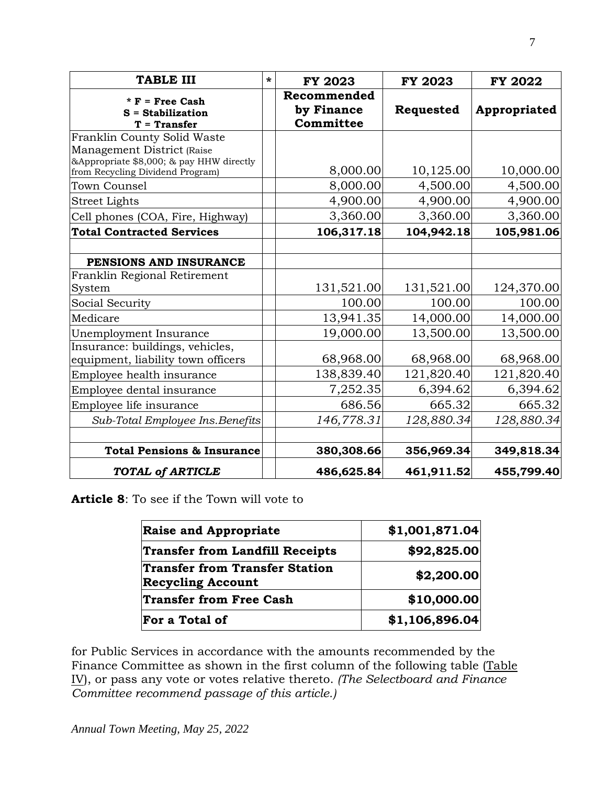| <b>TABLE III</b>                                                             | ÷ | <b>FY 2023</b>                         | <b>FY 2023</b> | <b>FY 2022</b> |
|------------------------------------------------------------------------------|---|----------------------------------------|----------------|----------------|
| $* F = Free Cash$<br>$S =$ Stabilization<br>$T = Transfer$                   |   | Recommended<br>by Finance<br>Committee | Requested      | Appropriated   |
| Franklin County Solid Waste                                                  |   |                                        |                |                |
| Management District (Raise                                                   |   |                                        |                |                |
| &Appropriate \$8,000; & pay HHW directly<br>from Recycling Dividend Program) |   | 8,000.00                               | 10,125.00      | 10,000.00      |
| Town Counsel                                                                 |   | 8,000.00                               | 4,500.00       | 4,500.00       |
| <b>Street Lights</b>                                                         |   | 4,900.00                               | 4,900.00       | 4,900.00       |
| Cell phones (COA, Fire, Highway)                                             |   | 3,360.00                               | 3,360.00       | 3,360.00       |
| <b>Total Contracted Services</b>                                             |   | 106,317.18                             | 104,942.18     | 105,981.06     |
|                                                                              |   |                                        |                |                |
| PENSIONS AND INSURANCE                                                       |   |                                        |                |                |
| Franklin Regional Retirement                                                 |   |                                        |                |                |
| System                                                                       |   | 131,521.00                             | 131,521.00     | 124,370.00     |
| Social Security                                                              |   | 100.00                                 | 100.00         | 100.00         |
| Medicare                                                                     |   | 13,941.35                              | 14,000.00      | 14,000.00      |
| Unemployment Insurance                                                       |   | 19,000.00                              | 13,500.00      | 13,500.00      |
| Insurance: buildings, vehicles,<br>equipment, liability town officers        |   | 68,968.00                              | 68,968.00      | 68,968.00      |
| Employee health insurance                                                    |   | 138,839.40                             | 121,820.40     | 121,820.40     |
| Employee dental insurance                                                    |   | 7,252.35                               | 6,394.62       | 6,394.62       |
| Employee life insurance                                                      |   | 686.56                                 | 665.32         | 665.32         |
| Sub-Total Employee Ins. Benefits                                             |   | 146,778.31                             | 128,880.34     | 128,880.34     |
| <b>Total Pensions &amp; Insurance</b>                                        |   | 380,308.66                             | 356,969.34     | 349,818.34     |
| <b>TOTAL of ARTICLE</b>                                                      |   | 486,625.84                             | 461,911.52     | 455,799.40     |

**Article 8**: To see if the Town will vote to

| <b>Raise and Appropriate</b>                                      | \$1,001,871.04 |
|-------------------------------------------------------------------|----------------|
| <b>Transfer from Landfill Receipts</b>                            | \$92,825.00    |
| <b>Transfer from Transfer Station</b><br><b>Recycling Account</b> | \$2,200.00     |
| <b>Transfer from Free Cash</b>                                    | \$10,000.00    |
| For a Total of                                                    | \$1,106,896.04 |

for Public Services in accordance with the amounts recommended by the Finance Committee as shown in the first column of the following table (Table IV), or pass any vote or votes relative thereto. *(The Selectboard and Finance Committee recommend passage of this article.)*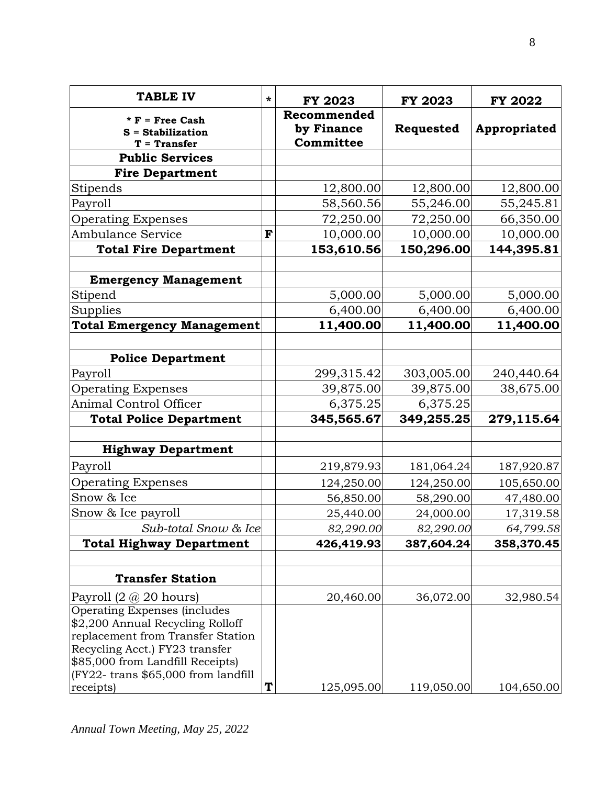| <b>TABLE IV</b>                                                                                                                                                                                                        | * | <b>FY 2023</b>                         | <b>FY 2023</b> | <b>FY 2022</b> |
|------------------------------------------------------------------------------------------------------------------------------------------------------------------------------------------------------------------------|---|----------------------------------------|----------------|----------------|
| $*$ F = Free Cash<br>$S =$ Stabilization<br>$T = Transfer$                                                                                                                                                             |   | Recommended<br>by Finance<br>Committee | Requested      | Appropriated   |
| <b>Public Services</b>                                                                                                                                                                                                 |   |                                        |                |                |
| <b>Fire Department</b>                                                                                                                                                                                                 |   |                                        |                |                |
| Stipends                                                                                                                                                                                                               |   | 12,800.00                              | 12,800.00      | 12,800.00      |
| Payroll                                                                                                                                                                                                                |   | 58,560.56                              | 55,246.00      | 55,245.81      |
| <b>Operating Expenses</b>                                                                                                                                                                                              |   | 72,250.00                              | 72,250.00      | 66,350.00      |
| Ambulance Service                                                                                                                                                                                                      | F | 10,000.00                              | 10,000.00      | 10,000.00      |
| <b>Total Fire Department</b>                                                                                                                                                                                           |   | 153,610.56                             | 150,296.00     | 144,395.81     |
| <b>Emergency Management</b>                                                                                                                                                                                            |   |                                        |                |                |
| Stipend                                                                                                                                                                                                                |   | 5,000.00                               | 5,000.00       | 5,000.00       |
| Supplies                                                                                                                                                                                                               |   | 6,400.00                               | 6,400.00       | 6,400.00       |
| <b>Total Emergency Management</b>                                                                                                                                                                                      |   | 11,400.00                              | 11,400.00      | 11,400.00      |
| <b>Police Department</b>                                                                                                                                                                                               |   |                                        |                |                |
| Payroll                                                                                                                                                                                                                |   | 299,315.42                             | 303,005.00     | 240,440.64     |
| <b>Operating Expenses</b>                                                                                                                                                                                              |   | 39,875.00                              | 39,875.00      | 38,675.00      |
| Animal Control Officer                                                                                                                                                                                                 |   | 6,375.25                               | 6,375.25       |                |
| <b>Total Police Department</b>                                                                                                                                                                                         |   | 345,565.67                             | 349,255.25     | 279,115.64     |
| <b>Highway Department</b>                                                                                                                                                                                              |   |                                        |                |                |
| Payroll                                                                                                                                                                                                                |   | 219,879.93                             | 181,064.24     | 187,920.87     |
| <b>Operating Expenses</b>                                                                                                                                                                                              |   | 124,250.00                             | 124,250.00     | 105,650.00     |
| Snow & Ice                                                                                                                                                                                                             |   | 56,850.00                              | 58,290.00      | 47,480.00      |
| Snow & Ice payroll                                                                                                                                                                                                     |   | 25,440.00                              | 24,000.00      | 17,319.58      |
| Sub-total Snow & Ice                                                                                                                                                                                                   |   | 82,290.00                              | 82,290.00      | 64,799.58      |
| <b>Total Highway Department</b>                                                                                                                                                                                        |   | 426,419.93                             | 387,604.24     | 358,370.45     |
|                                                                                                                                                                                                                        |   |                                        |                |                |
| <b>Transfer Station</b>                                                                                                                                                                                                |   |                                        |                |                |
| Payroll $(2 \text{ } @$ 20 hours)                                                                                                                                                                                      |   | 20,460.00                              | 36,072.00      | 32,980.54      |
| Operating Expenses (includes<br>\$2,200 Annual Recycling Rolloff<br>replacement from Transfer Station<br>Recycling Acct.) FY23 transfer<br>\$85,000 from Landfill Receipts)<br>$ $ (FY22- trans \$65,000 from landfill |   |                                        |                |                |
| receipts)                                                                                                                                                                                                              | T | 125,095.00                             | 119,050.00     | 104,650.00     |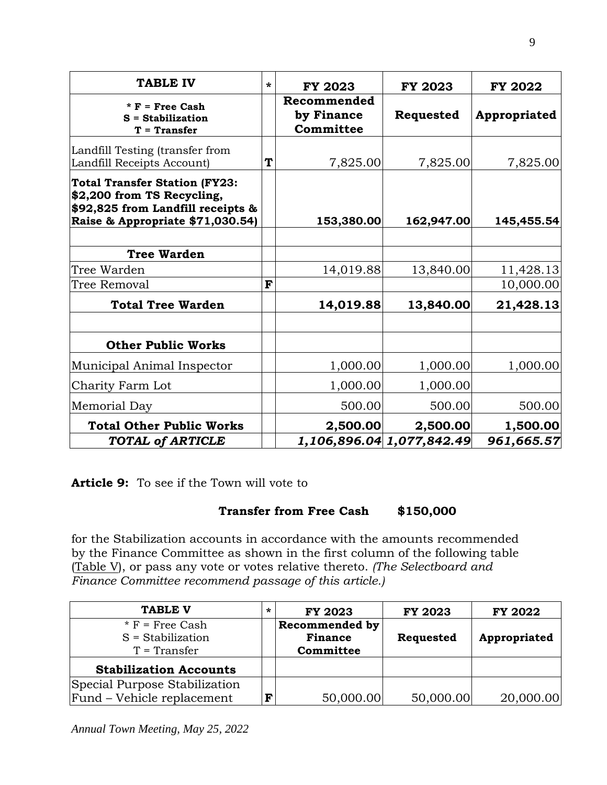| <b>TABLE IV</b>                                                                                                                             | $\star$ | <b>FY 2023</b>                         | <b>FY 2023</b>            | <b>FY 2022</b> |
|---------------------------------------------------------------------------------------------------------------------------------------------|---------|----------------------------------------|---------------------------|----------------|
| $* F = Free Cash$<br>$S =$ Stabilization<br>$T = Transfer$                                                                                  |         | Recommended<br>by Finance<br>Committee | Requested                 | Appropriated   |
| Landfill Testing (transfer from<br>Landfill Receipts Account)                                                                               | T       | 7,825.00                               | 7,825.00                  | 7,825.00       |
| <b>Total Transfer Station (FY23:</b><br>\$2,200 from TS Recycling,<br>\$92,825 from Landfill receipts &<br>Raise & Appropriate \$71,030.54) |         | 153,380.00                             | 162,947.00                | 145,455.54     |
| <b>Tree Warden</b>                                                                                                                          |         |                                        |                           |                |
| Tree Warden                                                                                                                                 |         | 14,019.88                              | 13,840.00                 | 11,428.13      |
| <b>Tree Removal</b>                                                                                                                         | F       |                                        |                           | 10,000.00      |
| <b>Total Tree Warden</b>                                                                                                                    |         | 14,019.88                              | 13,840.00                 | 21,428.13      |
| <b>Other Public Works</b>                                                                                                                   |         |                                        |                           |                |
| Municipal Animal Inspector                                                                                                                  |         | 1,000.00                               | 1,000.00                  | 1,000.00       |
| Charity Farm Lot                                                                                                                            |         | 1,000.00                               | 1,000.00                  |                |
| Memorial Day                                                                                                                                |         | 500.00                                 | 500.00                    | 500.00         |
| <b>Total Other Public Works</b>                                                                                                             |         | 2,500.00                               | 2,500.00                  | 1,500.00       |
| TOTAL of ARTICLE                                                                                                                            |         |                                        | 1,106,896.04 1,077,842.49 | 961,665.57     |

**Article 9:** To see if the Town will vote to

## **Transfer from Free Cash \$150,000**

for the Stabilization accounts in accordance with the amounts recommended by the Finance Committee as shown in the first column of the following table (Table V), or pass any vote or votes relative thereto. *(The Selectboard and Finance Committee recommend passage of this article.)*

| <b>TABLE V</b>                | $\star$ | <b>FY 2023</b>        | <b>FY 2023</b> | <b>FY 2022</b> |
|-------------------------------|---------|-----------------------|----------------|----------------|
| $*$ F = Free Cash             |         | <b>Recommended by</b> |                |                |
| $S =$ Stabilization           |         | <b>Finance</b>        | Requested      | Appropriated   |
| $T = Transfer$                |         | Committee             |                |                |
| <b>Stabilization Accounts</b> |         |                       |                |                |
| Special Purpose Stabilization |         |                       |                |                |
| Fund - Vehicle replacement    | F       | 50,000.00             | 50,000.00      | 20,000.00      |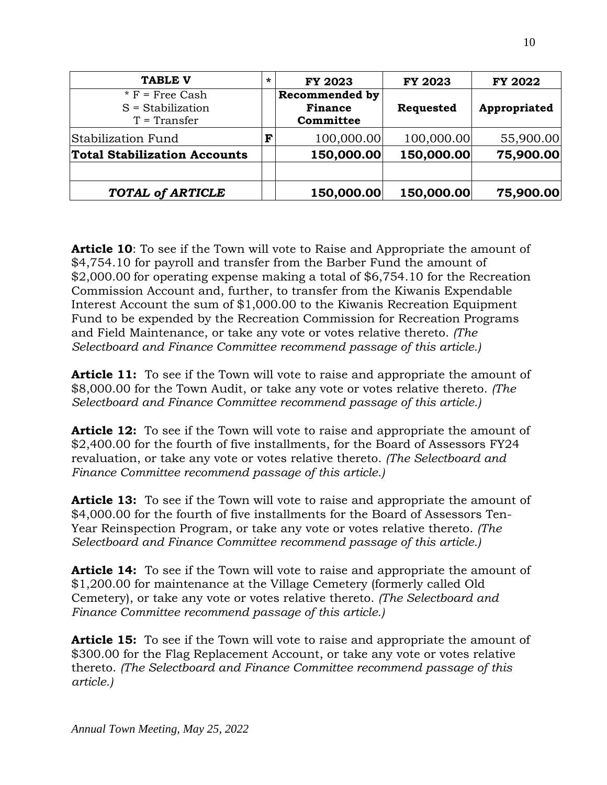| <b>TABLE V</b>                                             | $\star$ | <b>FY 2023</b>                                       | <b>FY 2023</b> | <b>FY 2022</b> |
|------------------------------------------------------------|---------|------------------------------------------------------|----------------|----------------|
| $*$ F = Free Cash<br>$S =$ Stabilization<br>$T = Transfer$ |         | <b>Recommended by</b><br><b>Finance</b><br>Committee | Requested      | Appropriated   |
| Stabilization Fund                                         | F       | 100,000.00                                           | 100,000.00     | 55,900.00      |
| <b>Total Stabilization Accounts</b>                        |         | 150,000.00                                           | 150,000.00     | 75,900.00      |
| TOTAL of ARTICLE                                           |         | 150,000.00                                           | 150,000.00     | 75,900.00      |

**Article 10**: To see if the Town will vote to Raise and Appropriate the amount of \$4,754.10 for payroll and transfer from the Barber Fund the amount of \$2,000.00 for operating expense making a total of \$6,754.10 for the Recreation Commission Account and, further, to transfer from the Kiwanis Expendable Interest Account the sum of \$1,000.00 to the Kiwanis Recreation Equipment Fund to be expended by the Recreation Commission for Recreation Programs and Field Maintenance, or take any vote or votes relative thereto. *(The Selectboard and Finance Committee recommend passage of this article.)*

**Article 11:** To see if the Town will vote to raise and appropriate the amount of \$8,000.00 for the Town Audit, or take any vote or votes relative thereto. *(The Selectboard and Finance Committee recommend passage of this article.)*

**Article 12:** To see if the Town will vote to raise and appropriate the amount of \$2,400.00 for the fourth of five installments, for the Board of Assessors FY24 revaluation, or take any vote or votes relative thereto. *(The Selectboard and Finance Committee recommend passage of this article.)*

**Article 13:** To see if the Town will vote to raise and appropriate the amount of \$4,000.00 for the fourth of five installments for the Board of Assessors Ten-Year Reinspection Program, or take any vote or votes relative thereto. *(The Selectboard and Finance Committee recommend passage of this article.)*

**Article 14:** To see if the Town will vote to raise and appropriate the amount of \$1,200.00 for maintenance at the Village Cemetery (formerly called Old Cemetery), or take any vote or votes relative thereto. *(The Selectboard and Finance Committee recommend passage of this article.)*

**Article 15:** To see if the Town will vote to raise and appropriate the amount of \$300.00 for the Flag Replacement Account, or take any vote or votes relative thereto. *(The Selectboard and Finance Committee recommend passage of this article.)*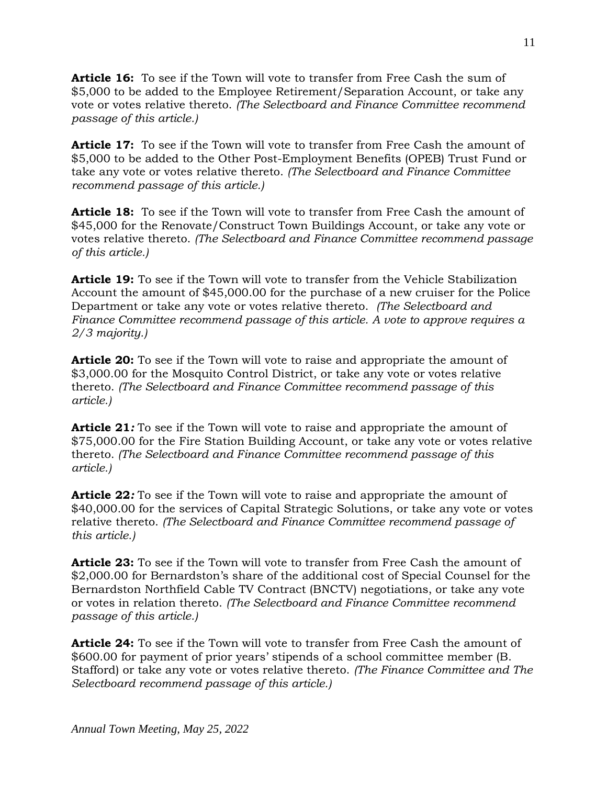**Article 16:** To see if the Town will vote to transfer from Free Cash the sum of \$5,000 to be added to the Employee Retirement/Separation Account, or take any vote or votes relative thereto. *(The Selectboard and Finance Committee recommend passage of this article.)*

**Article 17:** To see if the Town will vote to transfer from Free Cash the amount of \$5,000 to be added to the Other Post-Employment Benefits (OPEB) Trust Fund or take any vote or votes relative thereto. *(The Selectboard and Finance Committee recommend passage of this article.)*

**Article 18:** To see if the Town will vote to transfer from Free Cash the amount of \$45,000 for the Renovate/Construct Town Buildings Account, or take any vote or votes relative thereto. *(The Selectboard and Finance Committee recommend passage of this article.)*

**Article 19:** To see if the Town will vote to transfer from the Vehicle Stabilization Account the amount of \$45,000.00 for the purchase of a new cruiser for the Police Department or take any vote or votes relative thereto. *(The Selectboard and Finance Committee recommend passage of this article. A vote to approve requires a 2/3 majority.)*

**Article 20:** To see if the Town will vote to raise and appropriate the amount of \$3,000.00 for the Mosquito Control District, or take any vote or votes relative thereto. *(The Selectboard and Finance Committee recommend passage of this article.)*

**Article 21***:* To see if the Town will vote to raise and appropriate the amount of \$75,000.00 for the Fire Station Building Account, or take any vote or votes relative thereto. *(The Selectboard and Finance Committee recommend passage of this article.)*

**Article 22***:* To see if the Town will vote to raise and appropriate the amount of \$40,000.00 for the services of Capital Strategic Solutions, or take any vote or votes relative thereto. *(The Selectboard and Finance Committee recommend passage of this article.)*

**Article 23:** To see if the Town will vote to transfer from Free Cash the amount of \$2,000.00 for Bernardston's share of the additional cost of Special Counsel for the Bernardston Northfield Cable TV Contract (BNCTV) negotiations, or take any vote or votes in relation thereto. *(The Selectboard and Finance Committee recommend passage of this article.)*

**Article 24:** To see if the Town will vote to transfer from Free Cash the amount of \$600.00 for payment of prior years' stipends of a school committee member (B. Stafford) or take any vote or votes relative thereto. *(The Finance Committee and The Selectboard recommend passage of this article.)*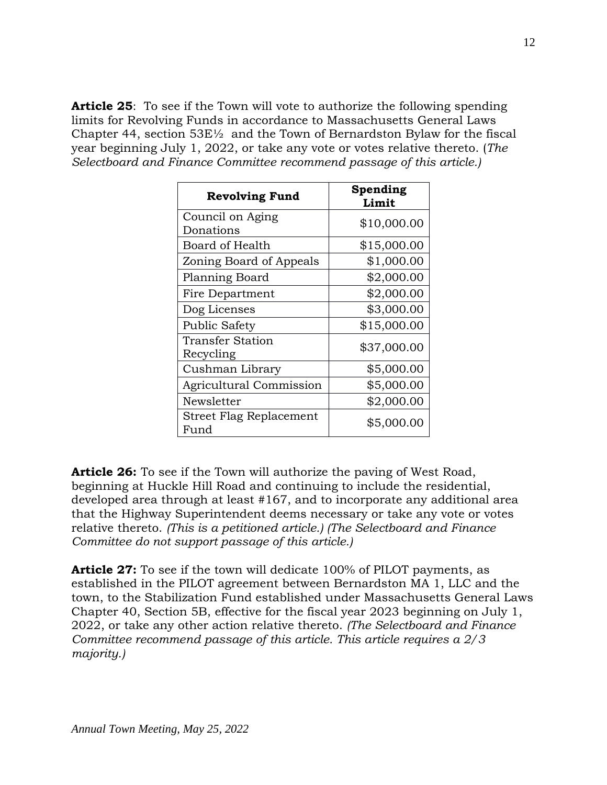**Article 25**: To see if the Town will vote to authorize the following spending limits for Revolving Funds in accordance to Massachusetts General Laws Chapter 44, section  $53E\frac{1}{2}$  and the Town of Bernardston Bylaw for the fiscal year beginning July 1, 2022, or take any vote or votes relative thereto. (*The Selectboard and Finance Committee recommend passage of this article.)*

| <b>Revolving Fund</b>           | Spending<br>Limit |
|---------------------------------|-------------------|
| Council on Aging<br>Donations   | \$10,000.00       |
| Board of Health                 | \$15,000.00       |
| Zoning Board of Appeals         | \$1,000.00        |
| Planning Board                  | \$2,000.00        |
| Fire Department                 | \$2,000.00        |
| Dog Licenses                    | \$3,000.00        |
| <b>Public Safety</b>            | \$15,000.00       |
| Transfer Station<br>Recycling   | \$37,000.00       |
| Cushman Library                 | \$5,000.00        |
| <b>Agricultural Commission</b>  | \$5,000.00        |
| Newsletter                      | \$2,000.00        |
| Street Flag Replacement<br>Fund | \$5,000.00        |

**Article 26:** To see if the Town will authorize the paving of West Road, beginning at Huckle Hill Road and continuing to include the residential, developed area through at least #167, and to incorporate any additional area that the Highway Superintendent deems necessary or take any vote or votes relative thereto. *(This is a petitioned article.) (The Selectboard and Finance Committee do not support passage of this article.)*

**Article 27:** To see if the town will dedicate 100% of PILOT payments, as established in the PILOT agreement between Bernardston MA 1, LLC and the town, to the Stabilization Fund established under Massachusetts General Laws Chapter 40, Section 5B, effective for the fiscal year 2023 beginning on July 1, 2022, or take any other action relative thereto. *(The Selectboard and Finance Committee recommend passage of this article. This article requires a 2/3 majority.)*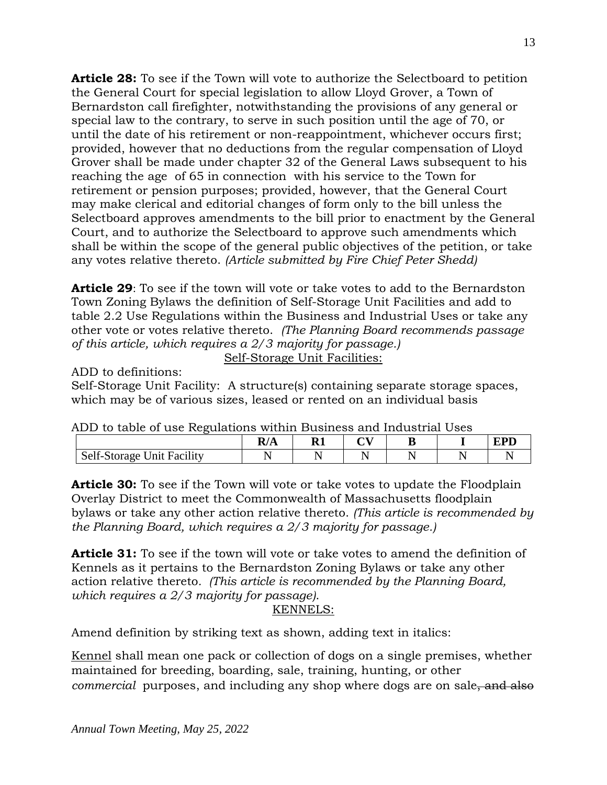**Article 28:** To see if the Town will vote to authorize the Selectboard to petition the General Court for special legislation to allow Lloyd Grover, a Town of Bernardston call firefighter, notwithstanding the provisions of any general or special law to the contrary, to serve in such position until the age of 70, or until the date of his retirement or non-reappointment, whichever occurs first; provided, however that no deductions from the regular compensation of Lloyd Grover shall be made under chapter 32 of the General Laws subsequent to his reaching the age of 65 in connection with his service to the Town for retirement or pension purposes; provided, however, that the General Court may make clerical and editorial changes of form only to the bill unless the Selectboard approves amendments to the bill prior to enactment by the General Court, and to authorize the Selectboard to approve such amendments which shall be within the scope of the general public objectives of the petition, or take any votes relative thereto. *(Article submitted by Fire Chief Peter Shedd)*

**Article 29**: To see if the town will vote or take votes to add to the Bernardston Town Zoning Bylaws the definition of Self-Storage Unit Facilities and add to table 2.2 Use Regulations within the Business and Industrial Uses or take any other vote or votes relative thereto. *(The Planning Board recommends passage of this article, which requires a 2/3 majority for passage.)*

Self-Storage Unit Facilities:

ADD to definitions:

Self-Storage Unit Facility: A structure(s) containing separate storage spaces, which may be of various sizes, leased or rented on an individual basis

| ADD to table of use Regulations within Dusiness and industrial Oses |     |  |  |  |  |            |  |  |
|---------------------------------------------------------------------|-----|--|--|--|--|------------|--|--|
|                                                                     | R/A |  |  |  |  | <b>EPD</b> |  |  |
| <b>Self-Storage Unit Facility</b>                                   |     |  |  |  |  |            |  |  |

|  |  |  |  |  | ADD to table of use Regulations within Business and Industrial Uses |  |
|--|--|--|--|--|---------------------------------------------------------------------|--|
|  |  |  |  |  |                                                                     |  |

**Article 30:** To see if the Town will vote or take votes to update the Floodplain Overlay District to meet the Commonwealth of Massachusetts floodplain bylaws or take any other action relative thereto. *(This article is recommended by the Planning Board, which requires a 2/3 majority for passage.)*

**Article 31:** To see if the town will vote or take votes to amend the definition of Kennels as it pertains to the Bernardston Zoning Bylaws or take any other action relative thereto*. (This article is recommended by the Planning Board, which requires a 2/3 majority for passage)*.

## KENNELS:

Amend definition by striking text as shown, adding text in italics:

Kennel shall mean one pack or collection of dogs on a single premises, whether maintained for breeding, boarding, sale, training, hunting, or other *commercial* purposes, and including any shop where dogs are on sale, and also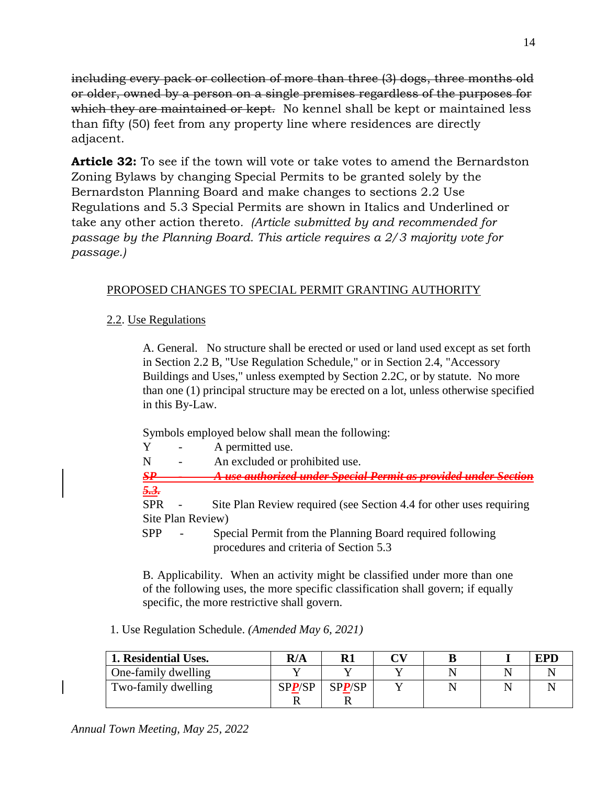including every pack or collection of more than three (3) dogs, three months old or older, owned by a person on a single premises regardless of the purposes for which they are maintained or kept. No kennel shall be kept or maintained less than fifty (50) feet from any property line where residences are directly adjacent.

**Article 32:** To see if the town will vote or take votes to amend the Bernardston Zoning Bylaws by changing Special Permits to be granted solely by the Bernardston Planning Board and make changes to sections 2.2 Use Regulations and 5.3 Special Permits are shown in Italics and Underlined or take any other action thereto*. (Article submitted by and recommended for passage by the Planning Board. This article requires a 2/3 majority vote for passage.)*

# PROPOSED CHANGES TO SPECIAL PERMIT GRANTING AUTHORITY

## 2.2. Use Regulations

A. General. No structure shall be erected or used or land used except as set forth in Section 2.2 B, "Use Regulation Schedule," or in Section 2.4, "Accessory Buildings and Uses," unless exempted by Section 2.2C, or by statute. No more than one (1) principal structure may be erected on a lot, unless otherwise specified in this By-Law.

Symbols employed below shall mean the following:

- Y A permitted use.
- N An excluded or prohibited use.

*SP - A use authorized under Special Permit as provided under Section 5.3.* 

SPR - Site Plan Review required (see Section 4.4 for other uses requiring Site Plan Review)

SPP - Special Permit from the Planning Board required following procedures and criteria of Section 5.3

B. Applicability. When an activity might be classified under more than one of the following uses, the more specific classification shall govern; if equally specific, the more restrictive shall govern.

1. Use Regulation Schedule. *(Amended May 6, 2021)*

| 1. Residential Uses. | R/A    | $\mathbf{R}1$ | $\boldsymbol{\alpha}$ v |  | <b>EPD</b> |
|----------------------|--------|---------------|-------------------------|--|------------|
| One-family dwelling  |        |               |                         |  |            |
| Two-family dwelling  | SPP/SP | SPP/SP        |                         |  |            |
|                      |        |               |                         |  |            |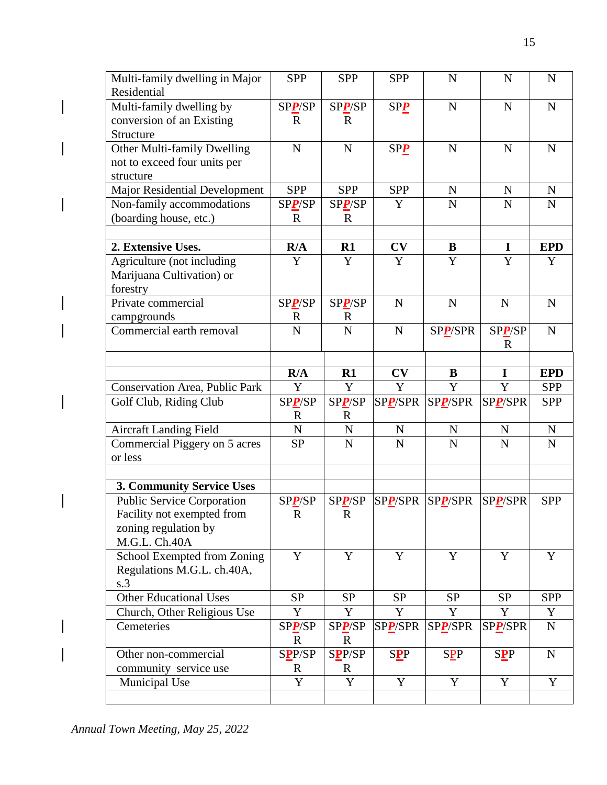| Multi-family dwelling in Major    | <b>SPP</b>            | <b>SPP</b>            | <b>SPP</b>      | $\mathbf N$ | $\mathbf N$    | ${\bf N}$        |
|-----------------------------------|-----------------------|-----------------------|-----------------|-------------|----------------|------------------|
| Residential                       |                       |                       |                 |             |                |                  |
| Multi-family dwelling by          | SPP/SP                | SPP/SP                | SP <sub>2</sub> | $\mathbf N$ | $\mathbf N$    | ${\bf N}$        |
| conversion of an Existing         | $\mathbf R$           | $\mathbf R$           |                 |             |                |                  |
| Structure                         |                       |                       |                 |             |                |                  |
| Other Multi-family Dwelling       | ${\bf N}$             | $\mathbf N$           | $SP_2$          | $\mathbf N$ | $\mathbf N$    | N                |
| not to exceed four units per      |                       |                       |                 |             |                |                  |
| structure                         |                       |                       |                 |             |                |                  |
| Major Residential Development     | <b>SPP</b>            | <b>SPP</b>            | <b>SPP</b>      | $\mathbf N$ | N              | N                |
| Non-family accommodations         | SPP/SP                | SPP/SP                | Y               | ${\bf N}$   | $\mathbf N$    | ${\bf N}$        |
| (boarding house, etc.)            | $\mathbf R$           | $\mathbf R$           |                 |             |                |                  |
|                                   |                       |                       |                 |             |                |                  |
| 2. Extensive Uses.                | R/A                   | R1                    | CV              | $\bf{B}$    | $\mathbf I$    | <b>EPD</b>       |
| Agriculture (not including        | Y                     | Y                     | Y               | Y           | Y              | Y                |
| Marijuana Cultivation) or         |                       |                       |                 |             |                |                  |
| forestry                          |                       |                       |                 |             |                |                  |
| Private commercial                | SPP/SP                | SPP/SP                | $\mathbf N$     | $\mathbf N$ | $\mathbf N$    | N                |
| campgrounds                       | $\mathbf R$           | $\mathbf R$           |                 |             |                |                  |
| Commercial earth removal          | $\overline{N}$        | $\overline{N}$        | ${\bf N}$       | SPP/SPR     | SPP/SP         | ${\bf N}$        |
|                                   |                       |                       |                 |             | $\mathbf R$    |                  |
|                                   |                       |                       |                 |             |                |                  |
|                                   | R/A                   | R1                    | CV              | $\bf{B}$    | $\mathbf I$    | <b>EPD</b>       |
| Conservation Area, Public Park    | $\mathbf Y$           | Y                     | Y               | $\mathbf Y$ | $\mathbf Y$    | <b>SPP</b>       |
|                                   |                       |                       |                 |             |                |                  |
| Golf Club, Riding Club            | SPP/SP                | SPP/SP                | SPP/SPR         | SPP/SPR     | SPP/SPR        | <b>SPP</b>       |
|                                   | $\mathbf R$           | $\mathbf R$           |                 |             |                |                  |
| <b>Aircraft Landing Field</b>     | ${\bf N}$             | $\mathbf N$           | ${\bf N}$       | ${\bf N}$   | ${\bf N}$      | ${\bf N}$        |
| Commercial Piggery on 5 acres     | <b>SP</b>             | $\mathbf N$           | $\mathbf N$     | N           | N              | $\mathbf N$      |
| or less                           |                       |                       |                 |             |                |                  |
|                                   |                       |                       |                 |             |                |                  |
| 3. Community Service Uses         |                       |                       |                 |             |                |                  |
| <b>Public Service Corporation</b> | SPP/SP                | SPP/SP                | SPP/SPR         | SPP/SPR     | SPP/SPR        | <b>SPP</b>       |
| Facility not exempted from        | ${\bf R}$             | $\mathbf R$           |                 |             |                |                  |
| zoning regulation by              |                       |                       |                 |             |                |                  |
| M.G.L. Ch.40A                     |                       |                       |                 |             |                |                  |
| School Exempted from Zoning       | Y                     | Y                     | Y               | $\mathbf Y$ | Y              | Y                |
| Regulations M.G.L. ch.40A,        |                       |                       |                 |             |                |                  |
| s.3                               |                       |                       |                 |             |                |                  |
| <b>Other Educational Uses</b>     | <b>SP</b><br>Y        | <b>SP</b>             | <b>SP</b><br>Y  | <b>SP</b>   | <b>SP</b><br>Y | <b>SPP</b>       |
| Church, Other Religious Use       |                       | Y                     |                 | Y           |                | Y<br>$\mathbf N$ |
| Cemeteries                        | SPP/SP<br>$\mathbf R$ | SPP/SP<br>$\mathbf R$ | SPP/SPR         | SPP/SPR     | SPP/SPR        |                  |
| Other non-commercial              |                       |                       |                 |             |                | $\mathbf N$      |
| community service use             | SPP/SP<br>$\mathbf R$ | SPP/SP<br>$\mathbf R$ | <b>SPP</b>      | <b>SPP</b>  | <b>SPP</b>     |                  |
| Municipal Use                     | Y                     | Y                     | Y               | Y           | Y              | Y                |

 $\overline{\phantom{a}}$ 

 $\overline{\phantom{a}}$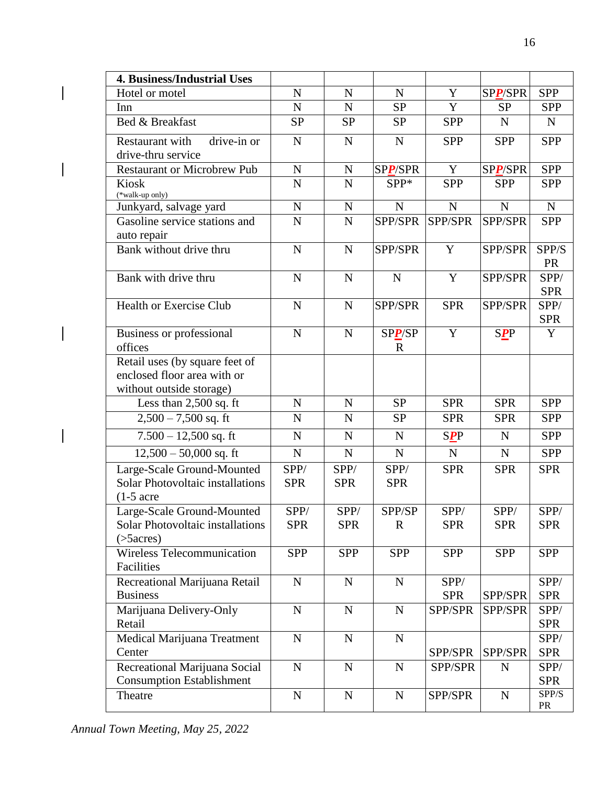| <b>4. Business/Industrial Uses</b>                                                        |                    |                    |                       |                       |                    |                     |
|-------------------------------------------------------------------------------------------|--------------------|--------------------|-----------------------|-----------------------|--------------------|---------------------|
| Hotel or motel                                                                            | $\mathbf N$        | N                  | $\mathbf N$           | Y                     | SPP/SPR            | <b>SPP</b>          |
| Inn                                                                                       | ${\bf N}$          | ${\bf N}$          | <b>SP</b>             | $\mathbf Y$           | <b>SP</b>          | <b>SPP</b>          |
| Bed & Breakfast                                                                           | <b>SP</b>          | <b>SP</b>          | <b>SP</b>             | <b>SPP</b>            | $\mathbf N$        | $\mathbf N$         |
| Restaurant with<br>drive-in or<br>drive-thru service                                      | N                  | $\mathbf N$        | $\mathbf N$           | <b>SPP</b>            | <b>SPP</b>         | <b>SPP</b>          |
| <b>Restaurant or Microbrew Pub</b>                                                        | $\mathbf N$        | $\mathbf N$        | <b>SPP/SPR</b>        | Y                     | SPP/SPR            | <b>SPP</b>          |
| <b>Kiosk</b><br>(*walk-up only)                                                           | $\mathbf N$        | $\mathbf N$        | SPP*                  | <b>SPP</b>            | <b>SPP</b>         | <b>SPP</b>          |
| Junkyard, salvage yard                                                                    | $\mathbf N$        | ${\bf N}$          | $\overline{N}$        | $\mathbf N$           | $\mathbf N$        | ${\bf N}$           |
| Gasoline service stations and<br>auto repair                                              | $\mathbf N$        | $\mathbf N$        | SPP/SPR               | SPP/SPR               | SPP/SPR            | <b>SPP</b>          |
| Bank without drive thru                                                                   | N                  | N                  | SPP/SPR               | Y                     | SPP/SPR            | SPP/S<br><b>PR</b>  |
| Bank with drive thru                                                                      | N                  | $\mathbf N$        | N                     | Y                     | SPP/SPR            | SPP/<br><b>SPR</b>  |
| <b>Health or Exercise Club</b>                                                            | $\mathbf N$        | $\mathbf N$        | SPP/SPR               | <b>SPR</b>            | SPP/SPR            | SPP/<br><b>SPR</b>  |
| <b>Business or professional</b><br>offices                                                | $\mathbf N$        | N                  | SPP/SP<br>$\mathbf R$ | $\mathbf Y$           | <b>SPP</b>         | Y                   |
| Retail uses (by square feet of<br>enclosed floor area with or<br>without outside storage) |                    |                    |                       |                       |                    |                     |
| Less than 2,500 sq. ft                                                                    | N                  | N                  | <b>SP</b>             | <b>SPR</b>            | <b>SPR</b>         | <b>SPP</b>          |
| $2,500 - 7,500$ sq. ft                                                                    | $\mathbf N$        | $\mathbf N$        | <b>SP</b>             | <b>SPR</b>            | <b>SPR</b>         | <b>SPP</b>          |
| $7.500 - 12,500$ sq. ft                                                                   | ${\bf N}$          | $\mathbf N$        | $\mathbf N$           | <b>SPP</b>            | $\mathbf N$        | <b>SPP</b>          |
| $\overline{12,500} - 50,000$ sq. ft                                                       | ${\bf N}$          | ${\bf N}$          | ${\bf N}$             | $\mathbf N$           | $\mathbf N$        | <b>SPP</b>          |
| Large-Scale Ground-Mounted<br>Solar Photovoltaic installations<br>$(1-5 \text{ acre})$    | SPP/<br><b>SPR</b> | SPP/<br><b>SPR</b> | SPP/<br><b>SPR</b>    | <b>SPR</b>            | <b>SPR</b>         | <b>SPR</b>          |
| Large-Scale Ground-Mounted                                                                | SPP/               | SPP/               | SPP/SP                | SPP/                  | SPP/               | SPP/                |
| Solar Photovoltaic installations<br>$($ >5 $acres)$                                       | <b>SPR</b>         | <b>SPR</b>         | $\mathbf R$           | <b>SPR</b>            | <b>SPR</b>         | <b>SPR</b>          |
| <b>Wireless Telecommunication</b><br>Facilities                                           | <b>SPP</b>         | <b>SPP</b>         | <b>SPP</b>            | <b>SPP</b>            | <b>SPP</b>         | <b>SPP</b>          |
| Recreational Marijuana Retail<br><b>Business</b>                                          | $\mathbf N$        | $\mathbf N$        | ${\bf N}$             | SPP/                  |                    | SPP/                |
| Marijuana Delivery-Only                                                                   | $\mathbf N$        | $\mathbf N$        | ${\bf N}$             | <b>SPR</b><br>SPP/SPR | SPP/SPR<br>SPP/SPR | <b>SPR</b><br>SPP/  |
| Retail                                                                                    |                    |                    |                       |                       |                    | <b>SPR</b>          |
| Medical Marijuana Treatment<br>Center                                                     | $\mathbf N$        | N                  | $\mathbf N$           | SPP/SPR               | SPP/SPR            | SPP/<br><b>SPR</b>  |
| Recreational Marijuana Social<br><b>Consumption Establishment</b>                         | ${\bf N}$          | ${\bf N}$          | ${\bf N}$             | SPP/SPR               | $\mathbf N$        | SPP/<br><b>SPR</b>  |
| Theatre                                                                                   | ${\bf N}$          | ${\bf N}$          | ${\bf N}$             | SPP/SPR               | ${\bf N}$          | ${\rm SPP/S}$<br>PR |

 $\overline{\phantom{a}}$ 

 $\overline{\phantom{a}}$ 

 $\overline{\phantom{a}}$ 

 $\overline{\phantom{a}}$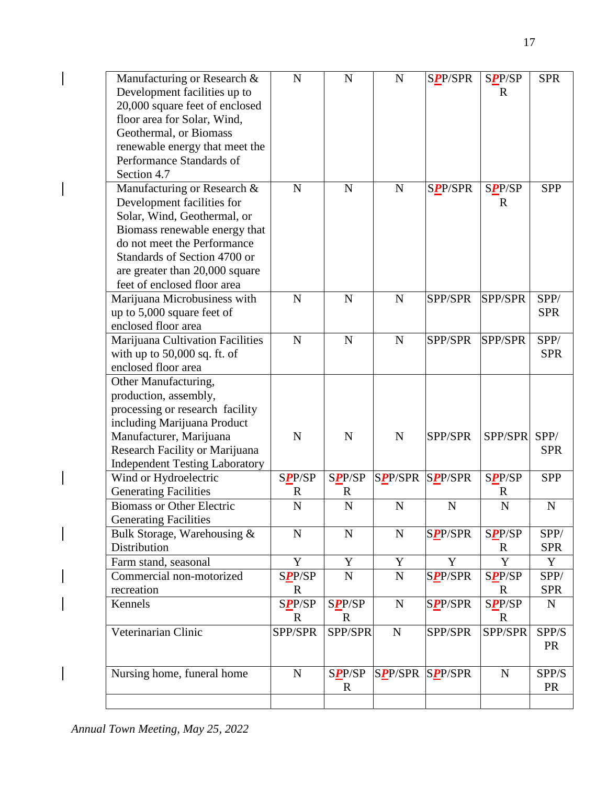| Manufacturing or Research &<br>Development facilities up to<br>20,000 square feet of enclosed<br>floor area for Solar, Wind, | $\mathbf N$    | $\mathbf N$   | ${\bf N}$              | <b>SPP/SPR</b> | <b>SPP/SP</b><br>$\mathbf R$ | <b>SPR</b>  |
|------------------------------------------------------------------------------------------------------------------------------|----------------|---------------|------------------------|----------------|------------------------------|-------------|
| Geothermal, or Biomass                                                                                                       |                |               |                        |                |                              |             |
| renewable energy that meet the<br>Performance Standards of                                                                   |                |               |                        |                |                              |             |
| Section 4.7                                                                                                                  |                |               |                        |                |                              |             |
| Manufacturing or Research &                                                                                                  | $\mathbf N$    | $\mathbf N$   | $\mathbf N$            | <b>SPP/SPR</b> | <b>SPP/SP</b>                | <b>SPP</b>  |
| Development facilities for                                                                                                   |                |               |                        |                | $\mathbb{R}$                 |             |
| Solar, Wind, Geothermal, or                                                                                                  |                |               |                        |                |                              |             |
| Biomass renewable energy that                                                                                                |                |               |                        |                |                              |             |
| do not meet the Performance                                                                                                  |                |               |                        |                |                              |             |
| Standards of Section 4700 or                                                                                                 |                |               |                        |                |                              |             |
| are greater than 20,000 square                                                                                               |                |               |                        |                |                              |             |
| feet of enclosed floor area                                                                                                  |                |               |                        |                |                              |             |
| Marijuana Microbusiness with                                                                                                 | $\mathbf N$    | $\mathbf N$   | $\mathbf N$            | SPP/SPR        | SPP/SPR                      | SPP/        |
| up to 5,000 square feet of                                                                                                   |                |               |                        |                |                              | <b>SPR</b>  |
| enclosed floor area                                                                                                          |                |               |                        |                |                              |             |
| Marijuana Cultivation Facilities                                                                                             | $\mathbf N$    | $\mathbf N$   | ${\bf N}$              | SPP/SPR        | SPP/SPR                      | SPP/        |
| with up to $50,000$ sq. ft. of                                                                                               |                |               |                        |                |                              | <b>SPR</b>  |
| enclosed floor area                                                                                                          |                |               |                        |                |                              |             |
| Other Manufacturing,                                                                                                         |                |               |                        |                |                              |             |
| production, assembly,                                                                                                        |                |               |                        |                |                              |             |
| processing or research facility                                                                                              |                |               |                        |                |                              |             |
| including Marijuana Product                                                                                                  |                |               |                        |                |                              |             |
| Manufacturer, Marijuana                                                                                                      | N              | $\mathbf N$   | $\mathbf N$            | SPP/SPR        | SPP/SPR                      | SPP/        |
| Research Facility or Marijuana                                                                                               |                |               |                        |                |                              | <b>SPR</b>  |
| <b>Independent Testing Laboratory</b>                                                                                        |                |               |                        |                |                              |             |
| Wind or Hydroelectric                                                                                                        | <b>SPP/SP</b>  | <b>SPP/SP</b> | <b>SPP/SPR</b>         | <b>SPP/SPR</b> | <b>SPP/SP</b>                | <b>SPP</b>  |
| <b>Generating Facilities</b>                                                                                                 | $\mathbf R$    | $\mathbf R$   |                        |                | $\mathbf R$                  |             |
| <b>Biomass or Other Electric</b>                                                                                             | $\overline{N}$ | $\mathbf N$   | $\mathbf N$            | $\mathbf N$    | $\overline{N}$               | $\mathbf N$ |
| <b>Generating Facilities</b>                                                                                                 |                |               |                        |                |                              |             |
| Bulk Storage, Warehousing &                                                                                                  | $\mathbf N$    | ${\bf N}$     | ${\bf N}$              | <b>SPP/SPR</b> | <b>SPP/SP</b>                | SPP/        |
| Distribution                                                                                                                 |                |               |                        |                | R                            | <b>SPR</b>  |
| Farm stand, seasonal                                                                                                         | Y              | Y             | Y                      | Y              | Y                            | Y           |
| Commercial non-motorized                                                                                                     | <b>SPP/SP</b>  | ${\bf N}$     | ${\bf N}$              | <b>SPP/SPR</b> | SPP/SP                       | SPP/        |
| recreation                                                                                                                   | $\mathbf R$    |               |                        |                | $\mathbb{R}$                 | <b>SPR</b>  |
| Kennels                                                                                                                      | <b>SPP/SP</b>  | <b>SPP/SP</b> | ${\bf N}$              | <b>SPP/SPR</b> | SPP/SP                       | $\mathbf N$ |
|                                                                                                                              | $\mathbf R$    | $\mathbf R$   |                        |                | $\mathbb{R}$                 |             |
| Veterinarian Clinic                                                                                                          | SPP/SPR        | SPP/SPR       | $\mathbf N$            | SPP/SPR        | SPP/SPR                      | SPP/S       |
|                                                                                                                              |                |               |                        |                |                              | <b>PR</b>   |
|                                                                                                                              |                |               |                        |                |                              |             |
| Nursing home, funeral home                                                                                                   | $\mathbf N$    | <b>SPP/SP</b> | <b>SPP/SPR SPP/SPR</b> |                | $\mathbf N$                  | SPP/S       |
|                                                                                                                              |                | $\mathbf R$   |                        |                |                              | PR          |
|                                                                                                                              |                |               |                        |                |                              |             |

 $\begin{array}{c} \hline \end{array}$ 

 $\overline{\phantom{a}}$ 

 $\overline{\phantom{a}}$